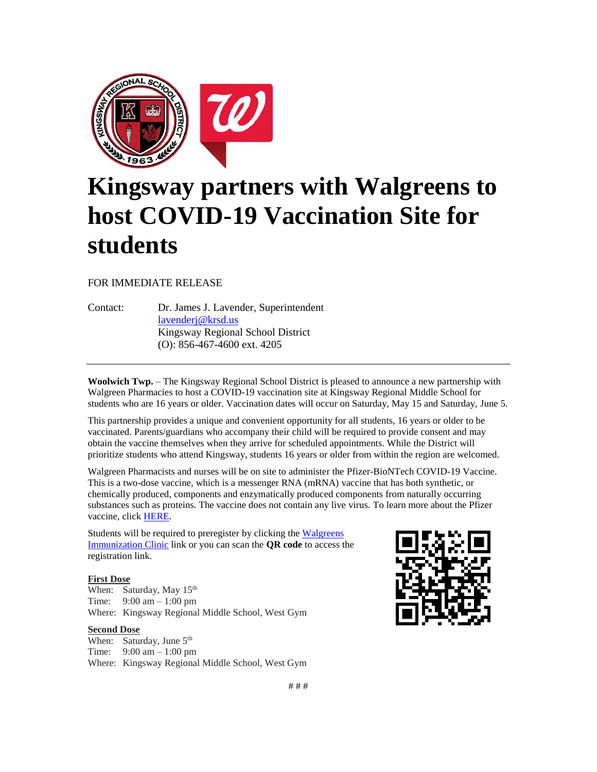

## **Kingsway partners with Walgreens to host COVID-19 Vaccination Site for students**

FOR IMMEDIATE RELEASE

Contact: Dr. James J. Lavender, Superintendent [lavenderj@krsd.us](mailto:lavenderj@krsd.us) Kingsway Regional School District (O): 856-467-4600 ext. 4205

**Woolwich Twp.** – The Kingsway Regional School District is pleased to announce a new partnership with Walgreen Pharmacies to host a COVID-19 vaccination site at Kingsway Regional Middle School for students who are 16 years or older. Vaccination dates will occur on Saturday, May 15 and Saturday, June 5.

This partnership provides a unique and convenient opportunity for all students, 16 years or older to be vaccinated. Parents/guardians who accompany their child will be required to provide consent and may obtain the vaccine themselves when they arrive for scheduled appointments. While the District will prioritize students who attend Kingsway, students 16 years or older from within the region are welcomed.

Walgreen Pharmacists and nurses will be on site to administer the Pfizer-BioNTech COVID-19 Vaccine. This is a two-dose vaccine, which is a messenger RNA (mRNA) vaccine that has both synthetic, or chemically produced, components and enzymatically produced components from naturally occurring substances such as proteins. The vaccine does not contain any live virus. To learn more about the Pfizer vaccine, click [HERE.](https://www.cdc.gov/coronavirus/2019-ncov/vaccines/different-vaccines/Pfizer-BioNTech.html)

Students will be required to preregister by clicking the Walgreens [Immunization Clinic](https://wagsoutreach.com/ss/KIN323078) link or you can scan the **QR code** to access the registration link.

## **First Dose**

When: Saturday, May 15<sup>th</sup> Time: 9:00 am – 1:00 pm Where: Kingsway Regional Middle School, West Gym

## **Second Dose**

When: Saturday, June  $5<sup>th</sup>$ Time: 9:00 am – 1:00 pm Where: Kingsway Regional Middle School, West Gym